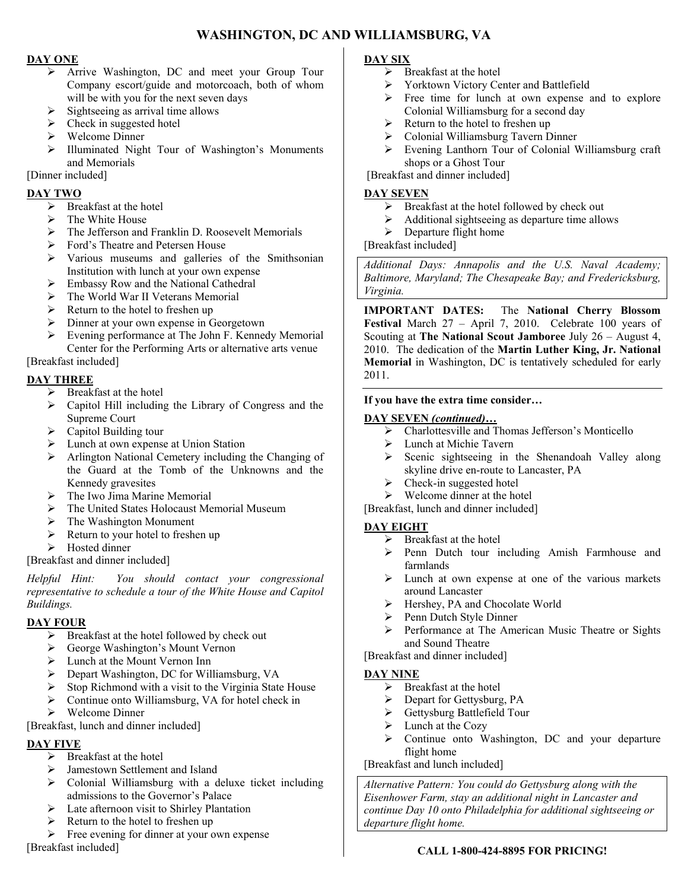# **WASHINGTON, DC AND WILLIAMSBURG, VA**

## **DAY ONE**

- Arrive Washington, DC and meet your Group Tour Company escort/guide and motorcoach, both of whom will be with you for the next seven days
- $\triangleright$  Sightseeing as arrival time allows
- $\triangleright$  Check in suggested hotel
- $\triangleright$  Welcome Dinner
- Illuminated Night Tour of Washington's Monuments and Memorials

[Dinner included]

#### **DAY TWO**

- $\triangleright$  Breakfast at the hotel
- $\triangleright$  The White House
- The Jefferson and Franklin D. Roosevelt Memorials
- Ford's Theatre and Petersen House
- Various museums and galleries of the Smithsonian Institution with lunch at your own expense
- $\triangleright$  Embassy Row and the National Cathedral
- > The World War II Veterans Memorial
- $\triangleright$  Return to the hotel to freshen up
- Dinner at your own expense in Georgetown
- Evening performance at The John F. Kennedy Memorial Center for the Performing Arts or alternative arts venue

[Breakfast included]

## **DAY THREE**

- > Breakfast at the hotel
- Capitol Hill including the Library of Congress and the Supreme Court
- $\triangleright$  Capitol Building tour
- > Lunch at own expense at Union Station
- $\triangleright$  Arlington National Cemetery including the Changing of the Guard at the Tomb of the Unknowns and the Kennedy gravesites
- $\triangleright$  The Iwo Jima Marine Memorial
- The United States Holocaust Memorial Museum
- > The Washington Monument
- $\triangleright$  Return to your hotel to freshen up
- > Hosted dinner

[Breakfast and dinner included]

*Helpful Hint: You should contact your congressional representative to schedule a tour of the White House and Capitol Buildings.* 

### **DAY FOUR**

- $\triangleright$  Breakfast at the hotel followed by check out
- George Washington's Mount Vernon
- Lunch at the Mount Vernon Inn
- ▶ Depart Washington, DC for Williamsburg, VA
- $\triangleright$  Stop Richmond with a visit to the Virginia State House
- Continue onto Williamsburg, VA for hotel check in
- $\triangleright$  Welcome Dinner

[Breakfast, lunch and dinner included]

### **DAY FIVE**

- $\triangleright$  Breakfast at the hotel
- > Jamestown Settlement and Island
- Colonial Williamsburg with a deluxe ticket including admissions to the Governor's Palace
- > Late afternoon visit to Shirley Plantation
- $\triangleright$  Return to the hotel to freshen up
- $\triangleright$  Free evening for dinner at your own expense

[Breakfast included]

### **DAY SIX**

- $\triangleright$  Breakfast at the hotel
- Yorktown Victory Center and Battlefield
- $\triangleright$  Free time for lunch at own expense and to explore Colonial Williamsburg for a second day
- $\triangleright$  Return to the hotel to freshen up
- Colonial Williamsburg Tavern Dinner
- Evening Lanthorn Tour of Colonial Williamsburg craft shops or a Ghost Tour

[Breakfast and dinner included]

#### **DAY SEVEN**

- $\triangleright$  Breakfast at the hotel followed by check out
- $\triangleright$  Additional sightseeing as departure time allows
- $\triangleright$  Departure flight home
- [Breakfast included]

*Additional Days: Annapolis and the U.S. Naval Academy; Baltimore, Maryland; The Chesapeake Bay; and Fredericksburg, Virginia.* 

**IMPORTANT DATES:** The **National Cherry Blossom Festival** March 27 – April 7, 2010. Celebrate 100 years of Scouting at **The National Scout Jamboree** July 26 – August 4, 2010. The dedication of the **Martin Luther King, Jr. National Memorial** in Washington, DC is tentatively scheduled for early 2011.

#### **If you have the extra time consider…**

#### **DAY SEVEN** *(continued)***…**

- Charlottesville and Thomas Jefferson's Monticello
- Lunch at Michie Tavern
- $\triangleright$  Scenic sightseeing in the Shenandoah Valley along skyline drive en-route to Lancaster, PA
- $\triangleright$  Check-in suggested hotel
- $\triangleright$  Welcome dinner at the hotel

[Breakfast, lunch and dinner included]

#### **DAY EIGHT**

- $\triangleright$  Breakfast at the hotel
- $\triangleright$  Penn Dutch tour including Amish Farmhouse and farmlands
- $\triangleright$  Lunch at own expense at one of the various markets around Lancaster
- Hershey, PA and Chocolate World
- $\triangleright$  Penn Dutch Style Dinner
- Performance at The American Music Theatre or Sights and Sound Theatre

[Breakfast and dinner included]

#### **DAY NINE**

- $\triangleright$  Breakfast at the hotel
- Depart for Gettysburg, PA
- Gettysburg Battlefield Tour
- $\blacktriangleright$  Lunch at the Cozy
- $\triangleright$  Continue onto Washington, DC and your departure flight home

[Breakfast and lunch included]

*Alternative Pattern: You could do Gettysburg along with the Eisenhower Farm, stay an additional night in Lancaster and continue Day 10 onto Philadelphia for additional sightseeing or departure flight home.*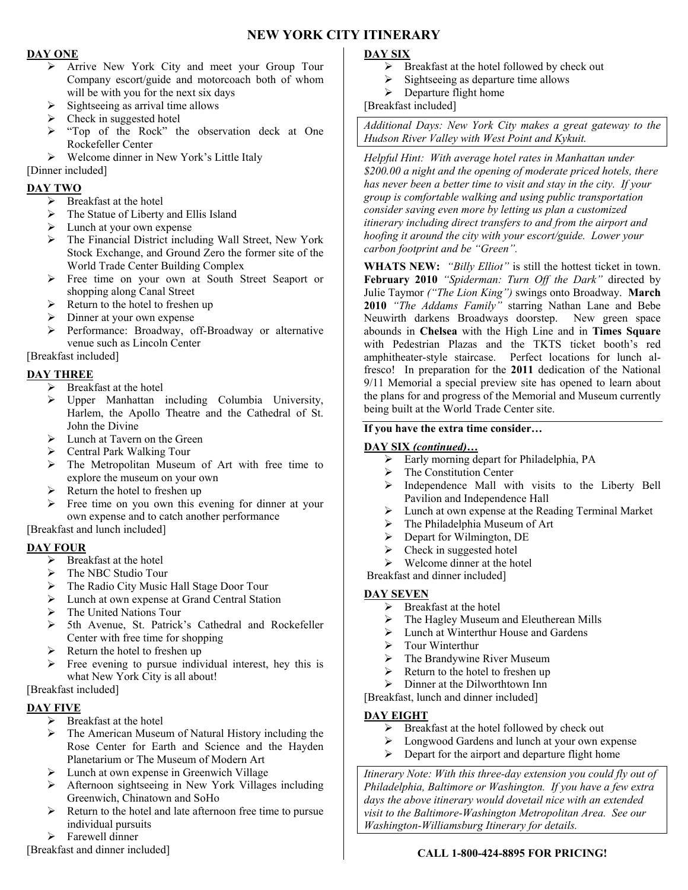# **NEW YORK CITY ITINERARY**

#### **DAY ONE**

- Arrive New York City and meet your Group Tour Company escort/guide and motorcoach both of whom will be with you for the next six days
- $\triangleright$  Sightseeing as arrival time allows
- $\triangleright$  Check in suggested hotel
- $\triangleright$  "Top of the Rock" the observation deck at One Rockefeller Center
- $\triangleright$  Welcome dinner in New York's Little Italy

[Dinner included]

## **DAY TWO**

- $\triangleright$  Breakfast at the hotel
- $\triangleright$  The Statue of Liberty and Ellis Island
- $\triangleright$  Lunch at your own expense
- The Financial District including Wall Street, New York Stock Exchange, and Ground Zero the former site of the World Trade Center Building Complex
- Free time on your own at South Street Seaport or shopping along Canal Street
- $\triangleright$  Return to the hotel to freshen up
- $\triangleright$  Dinner at your own expense
- Performance: Broadway, off-Broadway or alternative venue such as Lincoln Center

[Breakfast included]

## **DAY THREE**

- > Breakfast at the hotel
- Upper Manhattan including Columbia University, Harlem, the Apollo Theatre and the Cathedral of St. John the Divine
- **Exercise 2** Lunch at Tavern on the Green
- Central Park Walking Tour
- > The Metropolitan Museum of Art with free time to explore the museum on your own
- $\triangleright$  Return the hotel to freshen up
- $\triangleright$  Free time on you own this evening for dinner at your own expense and to catch another performance

### [Breakfast and lunch included]

### **DAY FOUR**

- $\triangleright$  Breakfast at the hotel
- $\triangleright$  The NBC Studio Tour
- The Radio City Music Hall Stage Door Tour
- > Lunch at own expense at Grand Central Station
- > The United Nations Tour
- 5th Avenue, St. Patrick's Cathedral and Rockefeller Center with free time for shopping
- $\triangleright$  Return the hotel to freshen up
- $\triangleright$  Free evening to pursue individual interest, hey this is what New York City is all about!

## [Breakfast included]

### **DAY FIVE**

- $\triangleright$  Breakfast at the hotel
- $\triangleright$  The American Museum of Natural History including the Rose Center for Earth and Science and the Hayden Planetarium or The Museum of Modern Art
- > Lunch at own expense in Greenwich Village
- Afternoon sightseeing in New York Villages including Greenwich, Chinatown and SoHo
- $\triangleright$  Return to the hotel and late afternoon free time to pursue individual pursuits
- > Farewell dinner

[Breakfast and dinner included]

# **DAY SIX**

- $\triangleright$  Breakfast at the hotel followed by check out
- $\triangleright$  Sightseeing as departure time allows
- $\triangleright$  Departure flight home
- [Breakfast included]

*Additional Days: New York City makes a great gateway to the Hudson River Valley with West Point and Kykuit.* 

*Helpful Hint: With average hotel rates in Manhattan under \$200.00 a night and the opening of moderate priced hotels, there has never been a better time to visit and stay in the city. If your group is comfortable walking and using public transportation consider saving even more by letting us plan a customized itinerary including direct transfers to and from the airport and hoofing it around the city with your escort/guide. Lower your carbon footprint and be "Green".* 

**WHATS NEW:** *"Billy Elliot"* is still the hottest ticket in town. **February 2010** *"Spiderman: Turn Off the Dark"* directed by Julie Taymor *("The Lion King")* swings onto Broadway. **March 2010** *"The Addams Family"* starring Nathan Lane and Bebe Neuwirth darkens Broadways doorstep. New green space abounds in **Chelsea** with the High Line and in **Times Square** with Pedestrian Plazas and the TKTS ticket booth's red amphitheater-style staircase. Perfect locations for lunch alfresco! In preparation for the **2011** dedication of the National 9/11 Memorial a special preview site has opened to learn about the plans for and progress of the Memorial and Museum currently being built at the World Trade Center site.

#### **If you have the extra time consider…**

### **DAY SIX** *(continued)***…**

- $\triangleright$  Early morning depart for Philadelphia, PA
- $\triangleright$  The Constitution Center
- $\triangleright$  Independence Mall with visits to the Liberty Bell Pavilion and Independence Hall
- Lunch at own expense at the Reading Terminal Market
- $\triangleright$  The Philadelphia Museum of Art
- $\triangleright$  Depart for Wilmington, DE
- $\triangleright$  Check in suggested hotel
- $\triangleright$  Welcome dinner at the hotel

Breakfast and dinner included]

### **DAY SEVEN**

- $\triangleright$  Breakfast at the hotel
- $\triangleright$  The Hagley Museum and Eleutherean Mills
- $\triangleright$  Lunch at Winterthur House and Gardens
- $\triangleright$  Tour Winterthur
- $\triangleright$  The Brandywine River Museum
- Return to the hotel to freshen up
- $\triangleright$  Dinner at the Dilworthtown Inn
- [Breakfast, lunch and dinner included]

### **DAY EIGHT**

- $\triangleright$  Breakfast at the hotel followed by check out  $\triangleright$  Longwood Gardens and lunch at your own exp
- Longwood Gardens and lunch at your own expense
- $\triangleright$  Depart for the airport and departure flight home

*Itinerary Note: With this three-day extension you could fly out of Philadelphia, Baltimore or Washington. If you have a few extra days the above itinerary would dovetail nice with an extended visit to the Baltimore-Washington Metropolitan Area. See our Washington-Williamsburg Itinerary for details.* 

### **CALL 1-800-424-8895 FOR PRICING!**